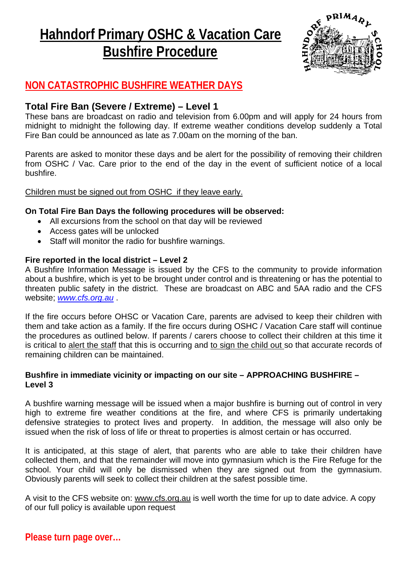# **Hahndorf Primary OSHC & Vacation Care Bushfire Procedure**



# **NON CATASTROPHIC BUSHFIRE WEATHER DAYS**

## **Total Fire Ban (Severe / Extreme) – Level 1**

These bans are broadcast on radio and television from 6.00pm and will apply for 24 hours from midnight to midnight the following day. If extreme weather conditions develop suddenly a Total Fire Ban could be announced as late as 7.00am on the morning of the ban.

Parents are asked to monitor these days and be alert for the possibility of removing their children from OSHC / Vac. Care prior to the end of the day in the event of sufficient notice of a local bushfire.

#### Children must be signed out from OSHC if they leave early.

#### **On Total Fire Ban Days the following procedures will be observed:**

- All excursions from the school on that day will be reviewed
- Access gates will be unlocked
- Staff will monitor the radio for bushfire warnings.

#### **Fire reported in the local district – Level 2**

A Bushfire Information Message is issued by the CFS to the community to provide information about a bushfire, which is yet to be brought under control and is threatening or has the potential to threaten public safety in the district. These are broadcast on ABC and 5AA radio and the CFS website; *www.cfs.org.au* .

If the fire occurs before OHSC or Vacation Care, parents are advised to keep their children with them and take action as a family. If the fire occurs during OSHC / Vacation Care staff will continue the procedures as outlined below. If parents / carers choose to collect their children at this time it is critical to alert the staff that this is occurring and to sign the child out so that accurate records of remaining children can be maintained.

#### **Bushfire in immediate vicinity or impacting on our site – APPROACHING BUSHFIRE – Level 3**

A bushfire warning message will be issued when a major bushfire is burning out of control in very high to extreme fire weather conditions at the fire, and where CFS is primarily undertaking defensive strategies to protect lives and property. In addition, the message will also only be issued when the risk of loss of life or threat to properties is almost certain or has occurred.

It is anticipated, at this stage of alert, that parents who are able to take their children have collected them, and that the remainder will move into gymnasium which is the Fire Refuge for the school. Your child will only be dismissed when they are signed out from the gymnasium. Obviously parents will seek to collect their children at the safest possible time.

A visit to the CFS website on: www.cfs.org.au is well worth the time for up to date advice. A copy of our full policy is available upon request

**Please turn page over…**